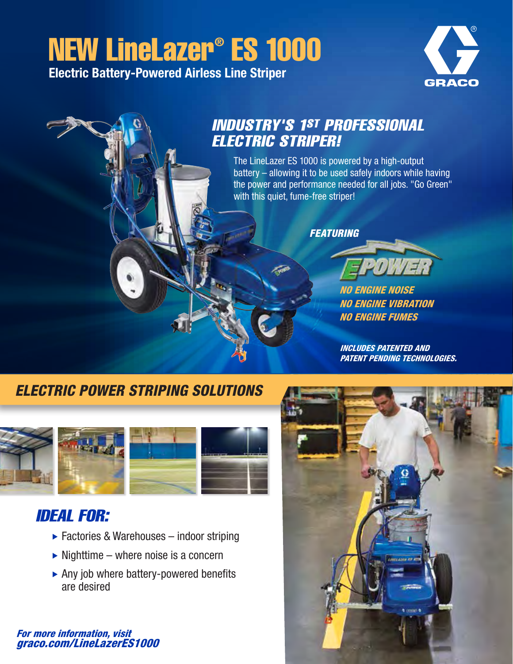## NEW LineLazer® ES 1000 Electric Battery-Powered Airless Line Striper

**GRACO** 

## The LineLazer ES 1000 is powered by a high-output battery – allowing it to be used safely indoors while having the power and performance needed for all jobs. "Go Green" with this quiet, fume-free striper! *FEATURING NO ENGINE NOISE NO ENGINE VIBRATION NO ENGINE FUMES* INDUSTRY'S 1ST PROFESSIONAL ELECTRIC STRIPER!

*INCLUDES PATENTED AND PATENT PENDING TECHNOLOGIES.*

## *ELECTRIC POWER STRIPING SOLUTIONS*



### IDEAL FOR:

- ► Factories & Warehouses indoor striping
- $\triangleright$  Nighttime where noise is a concern
- Any job where battery-powered benefits are desired

#### *For more information, visit graco.com/LineLazerES1000*